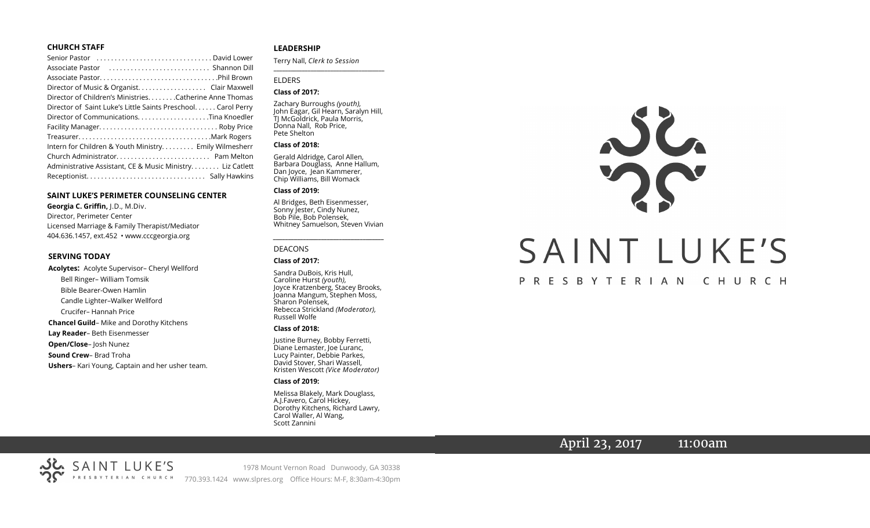#### **CHURCH STAFF**

| Senior Pastor (and senior control of the sensitive contract control of the Senior Payid Lower |
|-----------------------------------------------------------------------------------------------|
|                                                                                               |
|                                                                                               |
| Director of Music & Organist. Clair Maxwell                                                   |
| Director of Children's Ministries. Catherine Anne Thomas                                      |
| Director of Saint Luke's Little Saints Preschool. Carol Perry                                 |
|                                                                                               |
|                                                                                               |
|                                                                                               |
| Intern for Children & Youth Ministry Emily Wilmesherr                                         |
|                                                                                               |
| Administrative Assistant, CE & Music Ministry Liz Catlett                                     |
|                                                                                               |

#### **SAINT LUKE'S PERIMETER COUNSELING CENTER**

**Georgia C. Griffin,** J.D., M.Div. Director, Perimeter Center Licensed Marriage & Family Therapist/Mediator 404.636.1457, ext.452 • www.cccgeorgia.org

#### **SERVING TODAY**

**Acolytes:** Acolyte Supervisor– Cheryl Wellford Bell Ringer– William Tomsik Bible Bearer-Owen Hamlin Candle Lighter–Walker Wellford Crucifer– Hannah Price **Chancel Guild**– Mike and Dorothy Kitchens **Lay Reader**– Beth Eisenmesser **Open/Close**– Josh Nunez **Sound Crew**– Brad Troha **Ushers**– Kari Young, Captain and her usher team.

#### **LEADERSHIP**

Terry Nall, *Clerk to Session*  **\_\_\_\_\_\_\_\_\_\_\_\_\_\_\_\_\_\_\_\_\_\_\_\_\_\_\_\_\_\_\_\_\_\_\_\_\_\_\_**

#### ELDERS

#### **Class of 2017:**

Zachary Burroughs *(youth),*  John Eagar, Gil Hearn, Saralyn Hill, TJ McGoldrick, Paula Morris, Donna Nall, Rob Price, Pete Shelton

#### **Class of 2018:**

Gerald Aldridge, Carol Allen, Barbara Douglass, Anne Hallum, Dan Joyce, Jean Kammerer, Chip Williams, Bill Womack

#### **Class of 2019:**

Al Bridges, Beth Eisenmesser, Sonny Jester, Cindy Nunez, Bob Pile, Bob Polensek, Whitney Samuelson, Steven Vivian

*\_\_\_\_\_\_\_\_\_\_\_\_\_\_\_\_\_\_\_\_\_\_\_\_\_\_\_\_\_\_\_\_\_\_\_\_\_*

#### DEACONS

#### **Class of 2017:**

Sandra DuBois, Kris Hull, Caroline Hurst *(youth),* Joyce Kratzenberg, Stacey Brooks, Joanna Mangum, Stephen Moss, Sharon Polensek, Rebecca Strickland *(Moderator),*  Russell Wolfe

#### **Class of 2018:**

Justine Burney, Bobby Ferretti, Diane Lemaster, Joe Luranc, Lucy Painter, Debbie Parkes, David Stover, Shari Wassell, Kristen Wescott *(Vice Moderator)*

#### **Class of 2019:**

Melissa Blakely, Mark Douglass, A.J.Favero, Carol Hickey, Dorothy Kitchens, Richard Lawry, Carol Waller, Al Wang, Scott Zannini



# PRESBYTERIAN CHURCH

# April 23, 2017 11:00am

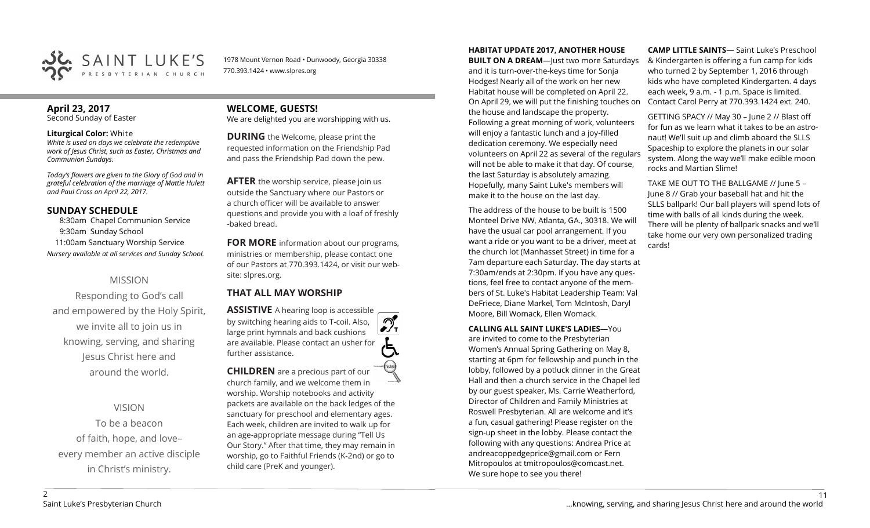

1978 Mount Vernon Road • Dunwoody, Georgia 30338 770.393.1424 • www.slpres.org

# **April 23, 2017**

Second Sunday of Easter

#### **Liturgical Color:** White

*White is used on days we celebrate the redemptive work of Jesus Christ, such as Easter, Christmas and Communion Sundays.*

*Today's flowers are given to the Glory of God and in grateful celebration of the marriage of Mattie Hulett and Paul Cross on April 22, 2017.*

### **SUNDAY SCHEDULE**

8:30am Chapel Communion Service 9:30am Sunday School 11:00am Sanctuary Worship Service *Nursery available at all services and Sunday School.*

# MISSION

Responding to God's call and empowered by the Holy Spirit, we invite all to join us in knowing, serving, and sharing Jesus Christ here and around the world.

VISION

To be a beacon of faith, hope, and love– every member an active disciple in Christ's ministry.

# **WELCOME, GUESTS!**

We are delighted you are worshipping with us.

**DURING** the Welcome, please print the requested information on the Friendship Pad and pass the Friendship Pad down the pew.

**AFTER** the worship service, please join us outside the Sanctuary where our Pastors or a church officer will be available to answer questions and provide you with a loaf of freshly -baked bread.

**FOR MORE** information about our programs, ministries or membership, please contact one of our Pastors at 770.393.1424, or visit our website: slpres.org.

# **THAT ALL MAY WORSHIP**

**ASSISTIVE** A hearing loop is accessible  $\mathcal{D}_{\mathbf{r}}$ by switching hearing aids to T-coil. Also, large print hymnals and back cushions are available. Please contact an usher for further assistance. **CHILDREN** are a precious part of our

church family, and we welcome them in worship. Worship notebooks and activity packets are available on the back ledges of the sanctuary for preschool and elementary ages. Each week, children are invited to walk up for an age-appropriate message during "Tell Us Our Story." After that time, they may remain in worship, go to Faithful Friends (K-2nd) or go to child care (PreK and younger).

**HABITAT UPDATE 2017, ANOTHER HOUSE** 

**BUILT ON A DREAM**—Just two more Saturdays and it is turn-over-the-keys time for Sonja Hodges! Nearly all of the work on her new Habitat house will be completed on April 22. On April 29, we will put the finishing touches on the house and landscape the property. Following a great morning of work, volunteers will enjoy a fantastic lunch and a joy-filled dedication ceremony. We especially need volunteers on April 22 as several of the regulars will not be able to make it that day. Of course, the last Saturday is absolutely amazing. Hopefully, many Saint Luke's members will make it to the house on the last day.

The address of the house to be built is 1500 Monteel Drive NW, Atlanta, GA., 30318. We will have the usual car pool arrangement. If you want a ride or you want to be a driver, meet at the church lot (Manhasset Street) in time for a 7am departure each Saturday. The day starts at 7:30am/ends at 2:30pm. If you have any questions, feel free to contact anyone of the members of St. Luke's Habitat Leadership Team: Val DeFriece, Diane Markel, Tom McIntosh, Daryl Moore, Bill Womack, Ellen Womack.

**CALLING ALL SAINT LUKE'S LADIES**—You

are invited to come to the Presbyterian Women's Annual Spring Gathering on May 8, starting at 6pm for fellowship and punch in the lobby, followed by a potluck dinner in the Great Hall and then a church service in the Chapel led by our guest speaker, Ms. Carrie Weatherford, Director of Children and Family Ministries at Roswell Presbyterian. All are welcome and it's a fun, casual gathering! Please register on the sign-up sheet in the lobby. Please contact the following with any questions: Andrea Price at [andreacoppedgeprice@gmail.com](mailto:andreacoppedgeprice@gmail.com) or Fern Mitropoulos at tmitropoulos@comcast.net. We sure hope to see you there!

**CAMP LITTLE SAINTS**— Saint Luke's Preschool & Kindergarten is offering a fun camp for kids who turned 2 by September 1, 2016 through kids who have completed Kindergarten. 4 days each week, 9 a.m. - 1 p.m. Space is limited. Contact Carol Perry at 770.393.1424 ext. 240.

GETTING SPACY // May 30 – June 2 // Blast off for fun as we learn what it takes to be an astronaut! We'll suit up and climb aboard the SLLS Spaceship to explore the planets in our solar system. Along the way we'll make edible moon rocks and Martian Slime!

TAKE ME OUT TO THE BALLGAME // June 5 – June 8 // Grab your baseball hat and hit the SLLS ballpark! Our ball players will spend lots of time with balls of all kinds during the week. There will be plenty of ballpark snacks and we'll take home our very own personalized trading cards!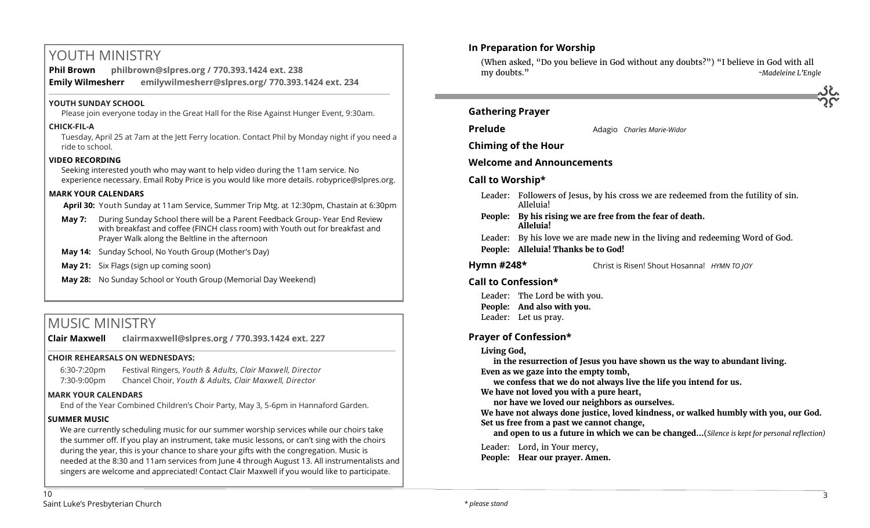# YOUTH MINISTRY

**Phil Brown philbrown@slpres.org / 770.393.1424 ext. 238 Emily Wilmesherr emilywilmesherr@slpres.org/ 770.393.1424 ext. 234**   $\_$  ,  $\_$  ,  $\_$  ,  $\_$  ,  $\_$  ,  $\_$  ,  $\_$  ,  $\_$  ,  $\_$  ,  $\_$  ,  $\_$  ,  $\_$  ,  $\_$  ,  $\_$  ,  $\_$  ,  $\_$  ,  $\_$  ,  $\_$  ,  $\_$  ,  $\_$ 

## **YOUTH SUNDAY SCHOOL**

Please join everyone today in the Great Hall for the Rise Against Hunger Event, 9:30am.

#### **CHICK-FIL-A**

Tuesday, April 25 at 7am at the Jett Ferry location. Contact Phil by Monday night if you need a ride to school.

### **VIDEO RECORDING**

Seeking interested youth who may want to help video during the 11am service. No experience necessary. Email Roby Price is you would like more details. robyprice@slpres.org.

### **MARK YOUR CALENDARS**

**April 30:** Youth Sunday at 11am Service, Summer Trip Mtg. at 12:30pm, Chastain at 6:30pm

- **May 7:** During Sunday School there will be a Parent Feedback Group- Year End Review with breakfast and coffee (FINCH class room) with Youth out for breakfast and Prayer Walk along the Beltline in the afternoon
- **May 14:** Sunday School, No Youth Group (Mother's Day)
- **May 21:** Six Flags (sign up coming soon)
- **May 28:** No Sunday School or Youth Group (Memorial Day Weekend)

# MUSIC MINISTRY

**Clair Maxwell clairmaxwell@slpres.org / 770.393.1424 ext. 227** 

#### **CHOIR REHEARSALS ON WEDNESDAYS:**

6:30-7:20pm Festival Ringers, *Youth & Adults, Clair Maxwell, Director* 7:30-9:00pm Chancel Choir, *Youth & Adults, Clair Maxwell, Director* 

#### **MARK YOUR CALENDARS**

End of the Year Combined Children's Choir Party, May 3, 5-6pm in Hannaford Garden.

\_\_\_\_\_\_\_\_\_\_\_\_\_\_\_\_\_\_\_\_\_\_\_\_\_\_\_\_\_\_\_\_\_\_\_\_\_\_\_\_\_\_\_\_\_\_\_\_\_\_\_\_\_\_\_\_\_\_\_\_\_\_\_\_\_\_\_\_\_\_\_\_\_\_\_\_\_\_\_\_\_\_\_\_\_\_\_\_\_\_\_\_\_\_\_\_\_\_\_\_

## **SUMMER MUSIC**

We are currently scheduling music for our summer worship services while our choirs take the summer off. If you play an instrument, take music lessons, or can't sing with the choirs during the year, this is your chance to share your gifts with the congregation. Music is needed at the 8:30 and 11am services from June 4 through August 13. All instrumentalists and singers are welcome and appreciated! Contact Clair Maxwell if you would like to participate.



(When asked, "Do you believe in God without any doubts?") "I believe in God with all my doubts." *~Madeleine L'Engle*

# **Gathering Prayer**

**Prelude** Adagio *Charles Marie-Widor* 

**Chiming of the Hour**

# **Welcome and Announcements**

# **Call to Worship\***

- Leader: Followers of Jesus, by his cross we are redeemed from the futility of sin. Alleluia!
- **People: By his rising we are free from the fear of death. Alleluia!**
- Leader: By his love we are made new in the living and redeeming Word of God. **People: Alleluia! Thanks be to God!**
- **Hymn #248\*** Christ is Risen! Shout Hosanna! *HYMN TO JOY*

# **Call to Confession\***

Leader: The Lord be with you. **People: And also with you.** Leader: Let us pray.

# **Prayer of Confession\***

## **Living God,**

**in the resurrection of Jesus you have shown us the way to abundant living. Even as we gaze into the empty tomb,**

**we confess that we do not always live the life you intend for us.**

**We have not loved you with a pure heart,**

**nor have we loved our neighbors as ourselves.**

**We have not always done justice, loved kindness, or walked humbly with you, our God. Set us free from a past we cannot change,**

**and open to us a future in which we can be changed…**(*Silence is kept for personal reflection)*

Leader: Lord, in Your mercy,

**People: Hear our prayer. Amen.**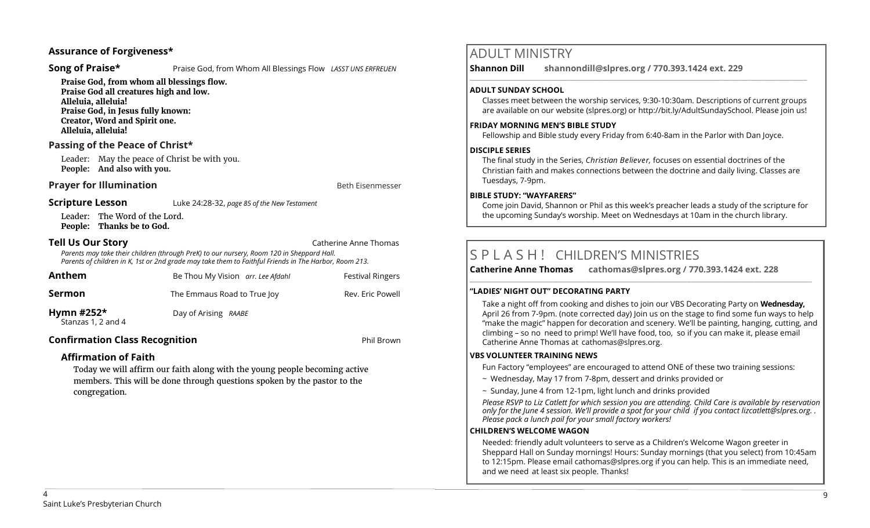## **Assurance of Forgiveness\***

**Song of Praise\* Praise God, from Whom All Blessings Flow** *LASST UNS ERFREUEN* 

**Praise God, from whom all blessings flow. Praise God all creatures high and low. Alleluia, alleluia! Praise God, in Jesus fully known: Creator, Word and Spirit one. Alleluia, alleluia!** 

## **Passing of the Peace of Christ\***

Leader: May the peace of Christ be with you. **People: And also with you.**

### **Prayer for Illumination Beth Eisenmesser Beth Eisenmesser**

#### **Scripture Lesson** Luke 24:28-32, *page 85 of the New Testament*

Leader: The Word of the Lord. **People: Thanks be to God.**

**Tell Us Our Story** Catherine Anne Thomas

*Parents may take their children (through PreK) to our nursery, Room 120 in Sheppard Hall. Parents of children in K, 1st or 2nd grade may take them to Faithful Friends in The Harbor, Room 213.*

| Anthem                             | Be Thou My Vision arr. Lee Afdahl | <b>Festival Ringers</b> |
|------------------------------------|-----------------------------------|-------------------------|
| Sermon                             | The Emmaus Road to True Joy       | Rev. Eric Powell        |
| Hymn $#252*$<br>Stanzas 1, 2 and 4 | Day of Arising RAABE              |                         |

# **Confirmation Class Recognition CONFIGURER 2018 12:30 Phil Brown**

# **Affirmation of Faith**

Today we will affirm our faith along with the young people becoming active members. This will be done through questions spoken by the pastor to the congregation.

# ADULT MINISTRY

**Shannon Dill shannondill@slpres.org / 770.393.1424 ext. 229** 

#### **ADULT SUNDAY SCHOOL**

Classes meet between the worship services, 9:30-10:30am. Descriptions of current groups are available on our website (slpres.org) or http://bit.ly/AdultSundaySchool. Please join us!

 $\_$  ,  $\_$  ,  $\_$  ,  $\_$  ,  $\_$  ,  $\_$  ,  $\_$  ,  $\_$  ,  $\_$  ,  $\_$  ,  $\_$  ,  $\_$  ,  $\_$  ,  $\_$  ,  $\_$  ,  $\_$  ,  $\_$  ,  $\_$  ,  $\_$ 

#### **FRIDAY MORNING MEN'S BIBLE STUDY**

Fellowship and Bible study every Friday from 6:40-8am in the Parlor with Dan Joyce.

#### **DISCIPLE SERIES**

The final study in the Series, *Christian Believer,* focuses on essential doctrines of the Christian faith and makes connections between the doctrine and daily living. Classes are Tuesdays, 7-9pm.

#### **BIBLE STUDY: "WAYFARERS"**

Come join David, Shannon or Phil as this week's preacher leads a study of the scripture for the upcoming Sunday's worship. Meet on Wednesdays at 10am in the church library.

# S P L A S H ! CHILDREN'S MINISTRIES

**Catherine Anne Thomas cathomas@slpres.org / 770.393.1424 ext. 228** 

#### **"LADIES' NIGHT OUT" DECORATING PARTY**

Take a night off from cooking and dishes to join our VBS Decorating Party on **Wednesday,**  April 26 from 7-9pm. (note corrected day) Join us on the stage to find some fun ways to help "make the magic" happen for decoration and scenery. We'll be painting, hanging, cutting, and climbing – so no need to primp! We'll have food, too, so if you can make it, please email Catherine Anne Thomas at cathomas@slpres.org.

**\_\_\_\_\_\_\_\_\_\_\_\_\_\_\_\_\_\_\_\_\_\_\_\_\_\_\_\_\_\_\_\_\_\_\_\_\_\_\_\_\_\_\_\_\_\_\_\_\_\_\_\_\_\_\_\_\_\_\_\_\_\_\_\_\_\_\_\_\_\_\_\_\_\_\_\_\_\_\_\_\_\_\_\_\_\_\_\_\_\_\_\_\_\_\_\_\_\_\_\_\_\_\_\_\_\_\_** 

#### **VBS VOLUNTEER TRAINING NEWS**

Fun Factory "employees" are encouraged to attend ONE of these two training sessions:

- ~ Wednesday, May 17 from 7-8pm, dessert and drinks provided or
- $\sim$  Sunday, June 4 from 12-1pm, light lunch and drinks provided

*Please RSVP to Liz Catlett for which session you are attending. Child Care is available by reservation only for the June 4 session. We'll provide a spot for your child if you contact [lizcatlett@slpres.org.](mailto:lizcatlett@slpres.org) . Please pack a lunch pail for your small factory workers!*

#### **CHILDREN'S WELCOME WAGON**

Needed: friendly adult volunteers to serve as a Children's Welcome Wagon greeter in Sheppard Hall on Sunday mornings! Hours: Sunday mornings (that you select) from 10:45am to 12:15pm. Please email [cathomas@slpres.org](mailto:cathomas@slpres.org) if you can help. This is an immediate need, and we need at least six people. Thanks!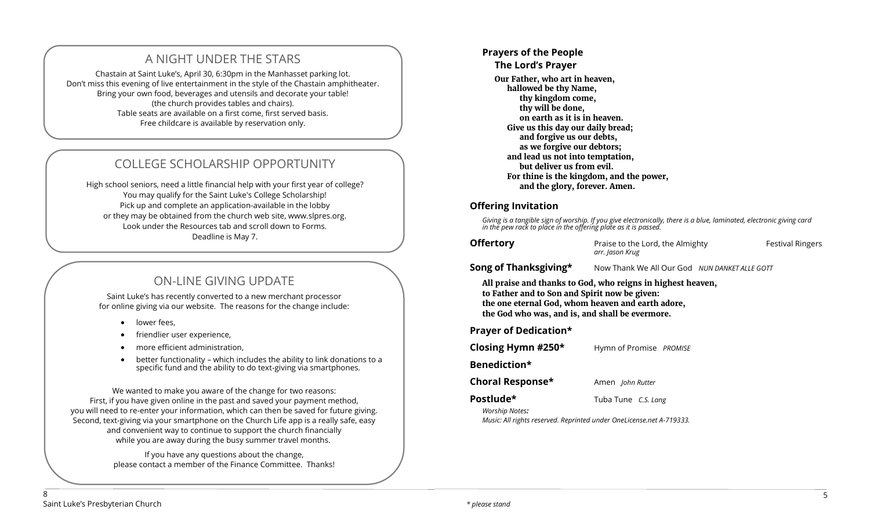# A NIGHT UNDER THE STARS

Chastain at Saint Luke's, April 30, 6:30pm in the Manhasset parking lot. Don't miss this evening of live entertainment in the style of the Chastain amphitheater. Bring your own food, beverages and utensils and decorate your table! (the church provides tables and chairs). Table seats are available on a first come, first served basis. Free childcare is available by reservation only.

# COLLEGE SCHOLARSHIP OPPORTUNITY

High school seniors, need a little financial help with your first year of college? You may qualify for the Saint Luke's College Scholarship! Pick up and complete an application-available in the lobby or they may be obtained from the church web site, www.slpres.org. Look under the Resources tab and scroll down to Forms. Deadline is May 7.

# ON-LINE GIVING UPDATE

Saint Luke's has recently converted to a new merchant processor for online giving via our website. The reasons for the change include:

- lower fees,
- friendlier user experience,
- more efficient administration,
- better functionality which includes the ability to link donations to a specific fund and the ability to do text-giving via smartphones.

We wanted to make you aware of the change for two reasons: First, if you have given online in the past and saved your payment method, you will need to re-enter your information, which can then be saved for future giving. Second, text-giving via your smartphone on the Church Life app is a really safe, easy and convenient way to continue to support the church financially while you are away during the busy summer travel months.

> If you have any questions about the change, please contact a member of the Finance Committee. Thanks!

#### **Prayers of the People The Lord's Prayer Our Father, who art in heaven, hallowed be thy Name, thy kingdom come, thy will be done, on earth as it is in heaven. Give us this day our daily bread; and forgive us our debts, as we forgive our debtors; and lead us not into temptation, but deliver us from evil. For thine is the kingdom, and the power, and the glory, forever. Amen.**

## **Offering Invitation**

*Giving is a tangible sign of worship. If you give electronically, there is a blue, laminated, electronic giving card in the pew rack to place in the offering plate as it is passed.*

**Check Transf** Praise to the Lord, the Almighty **Festival Ringers** *arr. Jason Krug*

**Song of Thanksgiving\*** Now Thank We All Our God *NUN DANKET ALLE GOTT* 

**All praise and thanks to God, who reigns in highest heaven, to Father and to Son and Spirit now be given: the one eternal God, whom heaven and earth adore, the God who was, and is, and shall be evermore.** 

**Prayer of Dedication\*** 

**Closing Hymn #250\*** Hymn of Promise *PROMISE*

**Benediction\*** 

**Choral Response\*** Amen *John Rutter* 

**Postlude\*** Tuba Tune *C.S. Lang*

*Worship Notes:* 

*Music: All rights reserved. Reprinted under OneLicense.net A-719333.*